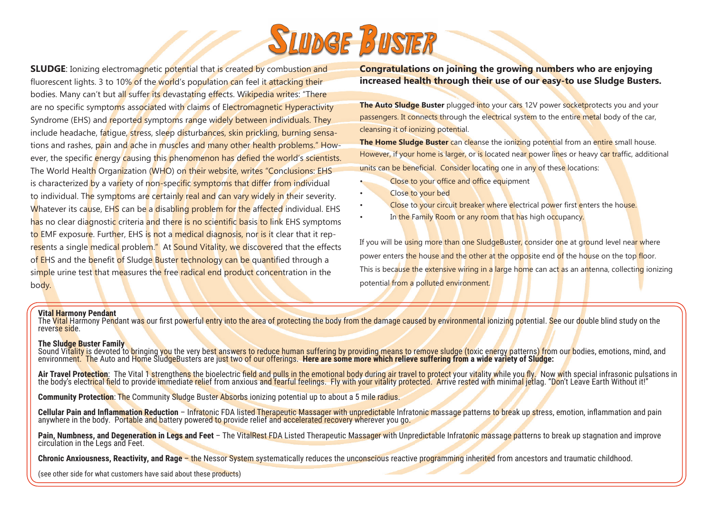

**SLUDGE:** Ionizing electromagnetic potential that is created by combustion and fluorescent lights. 3 to 10% of the world's population can feel it attacking their bodies. Many can't but all suffer its devastating effects. Wikipedia writes: "There are no specific symptoms associated with claims of Electromagnetic Hyperactivity Syndrome (EHS) and reported symptoms range widely between individuals. They include headache, fatigue, stress, sleep disturbances, skin prickling, burning sensations and rashes, pain and ache in muscles and many other health problems." However, the specific energy causing this phenomenon has defied the world's scientists. The World Health Organization (WHO) on their website, writes "Conclusions: EHS is characterized by a variety of non-specific symptoms that differ from individual to individual. The symptoms are certainly real and can vary widely in their severity. Whatever its cause. EHS can be a disabling problem for the affected individual. EHS has no clear diagnostic criteria and there is no scientific basis to link EHS symptoms to EMF exposure. Further, EHS is not a medical diagnosis, nor is it clear that it represents a single medical problem." At Sound Vitality, we discovered that the effects of EHS and the benefit of Sludge Buster technology can be quantified through a simple urine test that measures the free radical end product concentration in the body.

## **Congratulations on joining the growing numbers who are enjoying increased health through their use of our easy-to use Sludge Busters.**

**The Auto Sludge Buster** plugged into your cars 12V power socketprotects you and your passengers. It connects through the electrical system to the entire metal body of the car, cleansing it of ionizing potential.

**The Home Sludge Buster** can cleanse the ionizing potential from an entire small house. However, if your home is larger, or is located near power lines or heavy car traffic, additional units can be beneficial. Consider locating one in any of these locations:

- Close to your office and office equipment
- Close to your bed
- Close to your circuit breaker where electrical power first enters the house.
- In the Family Room or any room that has high occupancy.

If you will be using more than one SludgeBuster, consider one at ground level near where power enters the house and the other at the opposite end of the house on the top floor. This is because the extensive wiring in a large home can act as an antenna, collecting ionizing potential from a polluted environment.

## **Vital Harmony Pendant**

The Vital Harmony Pendant was our first powerful entry into the area of protecting the body from the damage caused by environmental ionizing potential. See our double blind study on the reverse side.

## **The Sludge Buster Family**

Sound Vit<mark>ality i</mark>s devoted to <mark>br</mark>inging you the very best answers to reduce human suffering by providing means to remove sludge (toxic energy patterns) from our bodies, emotions, mind, and environment. The Auto and Home SludgeBusters are just two of our offerings. **Here are some more which relieve suffering from a wide variety of Sludge:**

Air Travel Protection: The Vital 1 strengthens the bioelectric field and pulls in the emotional body during air travel to protect your vitality while you fly. Now with special infrasonic pulsations in the body's electrical

**Community Protection: The Community Sludge Buster Absorbs ionizing potential up to about a 5 mile radius.** 

Cellular Pain and Inflammation Reduction - Infratonic FDA listed Therapeutic Massager with unpredictable Infratonic massage patterns to break up stress, emotion, inflammation and pain anywhere in the body. Portable and bat

**Pain, Numbness, and Degeneration in Legs and Feet** – The VitalRest FDA Listed Therapeutic Massager with Unpredictable Infratonic massage patterns to break up stagnation and improve circulation in the Legs and Feet.

**Chronic Anxiousness, Reactivity, and Rage** – the Nessor System systematically reduces the unconscious reactive programming inherited from ancestors and traumatic childhood.

(see other side for what customers have said about these products)